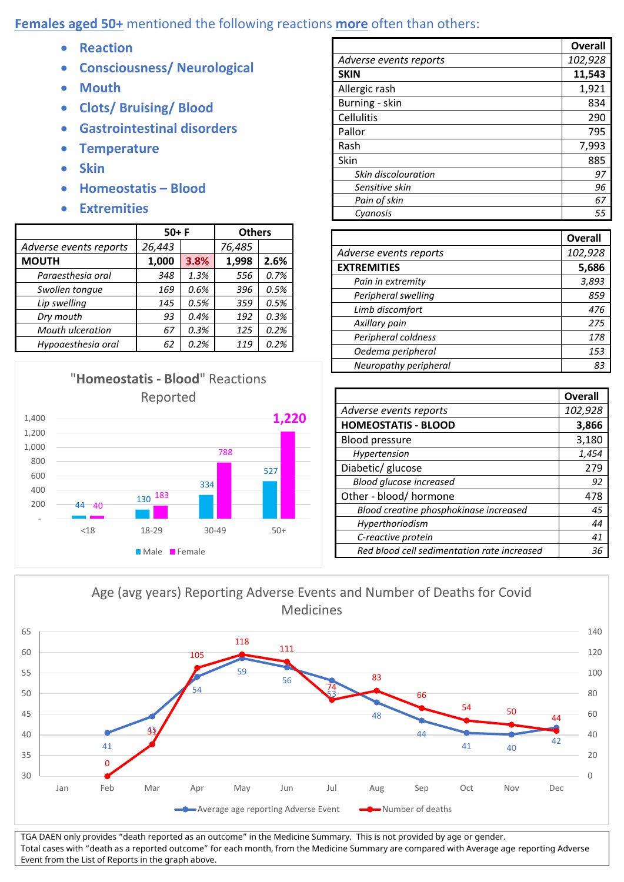## **Females aged 50+** mentioned the following reactions **more** often than others:

- **Reaction**
- **Consciousness/ Neurological**
- **Mouth**
- **Clots/ Bruising/ Blood**
- **Gastrointestinal disorders**
- **Temperature**
- **Skin**
- **Homeostatis – Blood**
- **Extremities**

|                         | $50+ F$ |      | <b>Others</b> |      |
|-------------------------|---------|------|---------------|------|
| Adverse events reports  | 26,443  |      | 76,485        |      |
| <b>MOUTH</b>            | 1,000   | 3.8% | 1,998         | 2.6% |
| Paraesthesia oral       | 348     | 1.3% | 556           | 0.7% |
| Swollen tonque          | 169     | 0.6% | 396           | 0.5% |
| Lip swelling            | 145     | 0.5% | 359           | 0.5% |
| Dry mouth               | 93      | 0.4% | 192           | 0.3% |
| <b>Mouth ulceration</b> | 67      | 0.3% | 125           | 0.2% |
| Hypoaesthesia oral      | 62      | 0.2% | 119           | 0.2% |



|                        | Overall |
|------------------------|---------|
| Adverse events reports | 102,928 |
| <b>SKIN</b>            | 11,543  |
| Allergic rash          | 1,921   |
| Burning - skin         | 834     |
| Cellulitis             | 290     |
| Pallor                 | 795     |
| Rash                   | 7,993   |
| Skin                   | 885     |
| Skin discolouration    | 97      |
| Sensitive skin         | 96      |
| Pain of skin           | 67      |
| Cyanosis               | 55      |

|                        | <b>Overall</b> |
|------------------------|----------------|
| Adverse events reports | 102,928        |
| <b>EXTREMITIES</b>     | 5,686          |
| Pain in extremity      | 3,893          |
| Peripheral swelling    | 859            |
| Limb discomfort        | 476            |
| Axillary pain          | 275            |
| Peripheral coldness    | 178            |
| Oedema peripheral      | 153            |
| Neuropathy peripheral  | 83             |

|                                             | <b>Overall</b> |
|---------------------------------------------|----------------|
| Adverse events reports                      | 102,928        |
| <b>HOMEOSTATIS - BLOOD</b>                  | 3,866          |
| <b>Blood pressure</b>                       | 3,180          |
| Hypertension                                | 1,454          |
| Diabetic/ glucose                           | 279            |
| <b>Blood glucose increased</b>              | 92             |
| Other - blood/ hormone                      | 478            |
| Blood creatine phosphokinase increased      | 45             |
| Hyperthoriodism                             | 44             |
| C-reactive protein                          | 41             |
| Red blood cell sedimentation rate increased | 36             |



TGA DAEN only provides "death reported as an outcome" in the Medicine Summary. This is not provided by age or gender. Total cases with "death as a reported outcome" for each month, from the Medicine Summary are compared with Average age reporting Adverse Event from the List of Reports in the graph above.